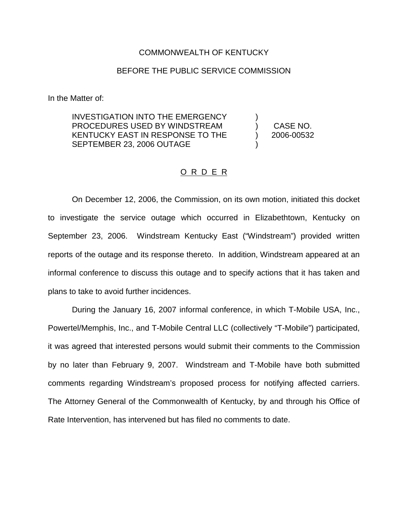## COMMONWEALTH OF KENTUCKY

## BEFORE THE PUBLIC SERVICE COMMISSION

In the Matter of:

INVESTIGATION INTO THE EMERGENCY PROCEDURES USED BY WINDSTREAM KENTUCKY EAST IN RESPONSE TO THE SEPTEMBER 23, 2006 OUTAGE

) CASE NO. ) 2006-00532

)

)

## O R D E R

On December 12, 2006, the Commission, on its own motion, initiated this docket to investigate the service outage which occurred in Elizabethtown, Kentucky on September 23, 2006. Windstream Kentucky East ("Windstream") provided written reports of the outage and its response thereto. In addition, Windstream appeared at an informal conference to discuss this outage and to specify actions that it has taken and plans to take to avoid further incidences.

During the January 16, 2007 informal conference, in which T-Mobile USA, Inc., Powertel/Memphis, Inc., and T-Mobile Central LLC (collectively "T-Mobile") participated, it was agreed that interested persons would submit their comments to the Commission by no later than February 9, 2007. Windstream and T-Mobile have both submitted comments regarding Windstream's proposed process for notifying affected carriers. The Attorney General of the Commonwealth of Kentucky, by and through his Office of Rate Intervention, has intervened but has filed no comments to date.